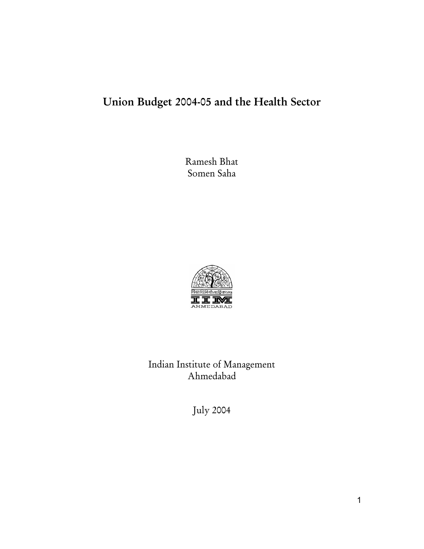# Union Budget 2004-05 and the Health Sector

Ramesh Bhat Somen Saha



Indian Institute of Management Ahmedabad

July 2004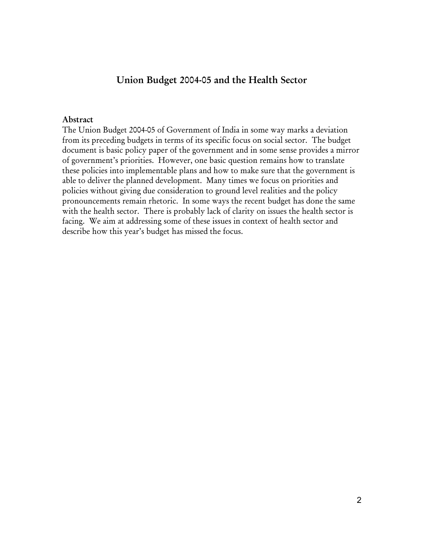# Union Budget 2004-05 and the Health Sector

#### Abstract

The Union Budget 2004-05 of Government of India in some way marks a deviation from its preceding budgets in terms of its specific focus on social sector. The budget document is basic policy paper of the government and in some sense provides a mirror of government's priorities. However, one basic question remains how to translate these policies into implementable plans and how to make sure that the government is able to deliver the planned development. Many times we focus on priorities and policies without giving due consideration to ground level realities and the policy pronouncements remain rhetoric. In some ways the recent budget has done the same with the health sector. There is probably lack of clarity on issues the health sector is facing. We aim at addressing some of these issues in context of health sector and describe how this year's budget has missed the focus.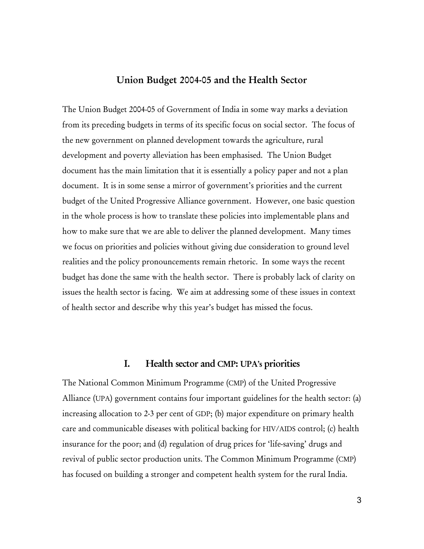# Union Budget 2004-05 and the Health Sector

The Union Budget 2004-05 of Government of India in some way marks a deviation from its preceding budgets in terms of its specific focus on social sector. The focus of the new government on planned development towards the agriculture, rural development and poverty alleviation has been emphasised. The Union Budget document has the main limitation that it is essentially a policy paper and not a plan document. It is in some sense a mirror of government's priorities and the current budget of the United Progressive Alliance government. However, one basic question in the whole process is how to translate these policies into implementable plans and how to make sure that we are able to deliver the planned development. Many times we focus on priorities and policies without giving due consideration to ground level realities and the policy pronouncements remain rhetoric. In some ways the recent budget has done the same with the health sector. There is probably lack of clarity on issues the health sector is facing. We aim at addressing some of these issues in context of health sector and describe why this year's budget has missed the focus.

## I. Health sector and CMP: UPA's priorities

The National Common Minimum Programme (CMP) of the United Progressive Alliance (UPA) government contains four important guidelines for the health sector: (a) increasing allocation to 2-3 per cent of GDP; (b) major expenditure on primary health care and communicable diseases with political backing for HIV/AIDS control; (c) health insurance for the poor; and (d) regulation of drug prices for 'life-saving' drugs and revival of public sector production units. The Common Minimum Programme (CMP) has focused on building a stronger and competent health system for the rural India.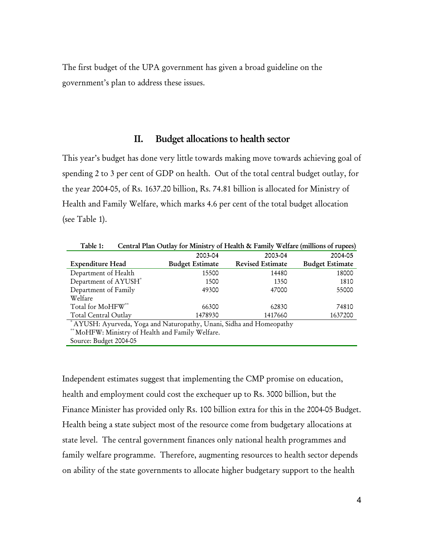The first budget of the UPA government has given a broad guideline on the government's plan to address these issues.

## II. Budget allocations to health sector

This year's budget has done very little towards making move towards achieving goal of spending 2 to 3 per cent of GDP on health. Out of the total central budget outlay, for the year 2004-05, of Rs. 1637.20 billion, Rs. 74.81 billion is allocated for Ministry of Health and Family Welfare, which marks 4.6 per cent of the total budget allocation (see Table 1).

| Table 1:                                                             | Central Plan Outlay for Ministry of Health & Family Welfare (millions of rupees) |                         |                        |  |  |
|----------------------------------------------------------------------|----------------------------------------------------------------------------------|-------------------------|------------------------|--|--|
|                                                                      | 2003-04                                                                          | 2003-04                 | 2004-05                |  |  |
| <b>Expenditure Head</b>                                              | <b>Budget Estimate</b>                                                           | <b>Revised Estimate</b> | <b>Budget Estimate</b> |  |  |
| Department of Health                                                 | 15500                                                                            | 14480                   | 18000                  |  |  |
| Department of AYUSH*                                                 | 1500                                                                             | 1350                    | 1810                   |  |  |
| Department of Family                                                 | 49300                                                                            | 47000                   | 55000                  |  |  |
| Welfare                                                              |                                                                                  |                         |                        |  |  |
| Total for MoHFW**                                                    | 66300                                                                            | 62830                   | 74810                  |  |  |
| Total Central Outlay                                                 | 1478930                                                                          | 1417660                 | 1637200                |  |  |
| * AYUSH: Ayurveda, Yoga and Naturopathy, Unani, Sidha and Homeopathy |                                                                                  |                         |                        |  |  |
| ** MoHFW: Ministry of Health and Family Welfare.                     |                                                                                  |                         |                        |  |  |
| Source: Budget 2004-05                                               |                                                                                  |                         |                        |  |  |

Independent estimates suggest that implementing the CMP promise on education, health and employment could cost the exchequer up to Rs. 3000 billion, but the Finance Minister has provided only Rs. 100 billion extra for this in the 2004-05 Budget. Health being a state subject most of the resource come from budgetary allocations at state level. The central government finances only national health programmes and family welfare programme. Therefore, augmenting resources to health sector depends on ability of the state governments to allocate higher budgetary support to the health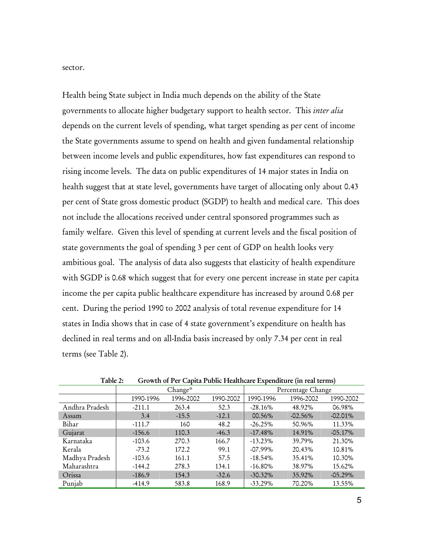sector.

Health being State subject in India much depends on the ability of the State governments to allocate higher budgetary support to health sector. This *inter alia* depends on the current levels of spending, what target spending as per cent of income the State governments assume to spend on health and given fundamental relationship between income levels and public expenditures, how fast expenditures can respond to rising income levels. The data on public expenditures of 14 major states in India on health suggest that at state level, governments have target of allocating only about 0.43 per cent of State gross domestic product (SGDP) to health and medical care. This does not include the allocations received under central sponsored programmes such as family welfare. Given this level of spending at current levels and the fiscal position of state governments the goal of spending 3 per cent of GDP on health looks very ambitious goal. The analysis of data also suggests that elasticity of health expenditure with SGDP is 0.68 which suggest that for every one percent increase in state per capita income the per capita public healthcare expenditure has increased by around 0.68 per cent. During the period 1990 to 2002 analysis of total revenue expenditure for 14 states in India shows that in case of 4 state government's expenditure on health has declined in real terms and on all-India basis increased by only 7.34 per cent in real terms (see Table 2).

|                | Change*   |           |           | Percentage Change |           |            |
|----------------|-----------|-----------|-----------|-------------------|-----------|------------|
|                | 1990-1996 | 1996-2002 | 1990-2002 | 1990-1996         | 1996-2002 | 1990-2002  |
| Andhra Pradesh | $-211.1$  | 263.4     | 52.3      | $-28.16%$         | 48.92%    | 06.98%     |
| Assam          | 3.4       | $-15.5$   | $-12.1$   | 00.56%            | $-02.56%$ | $-02.01%$  |
| Bihar          | $-111.7$  | 160       | 48.2      | $-26.25%$         | 50.96%    | 11.33%     |
| Gujarat        | $-156.6$  | 110.3     | $-46.3$   | $-17.48%$         | 14.91%    | $-05.17\%$ |
| Karnataka      | $-103.6$  | 270.3     | 166.7     | $-13.23\%$        | 39.79%    | 21.30%     |
| Kerala         | $-73.2$   | 172.2     | 99.1      | $-07.99\%$        | 20.43%    | 10.81%     |
| Madhya Pradesh | $-103.6$  | 161.1     | 57.5      | $-18.54\%$        | 35.41%    | 10.30%     |
| Maharashtra    | $-144.2$  | 278.3     | 134.1     | $-16.80%$         | 38.97%    | 15.62%     |
| Orissa         | $-186.9$  | 154.3     | $-32.6$   | $-30.32\%$        | 35.92%    | $-05.29%$  |
| Punjab         | $-414.9$  | 583.8     | 168.9     | $-33.29%$         | 70.20%    | 13.55%     |

Table 2: Growth of Per Capita Public Healthcare Expenditure (in real terms)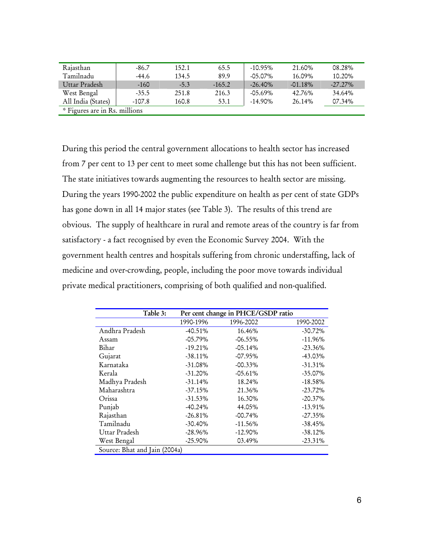| Rajasthan                     | -86.7    | 152.1  | 65.5     | $-10.95\%$  | 21.60%    | 08.28%     |
|-------------------------------|----------|--------|----------|-------------|-----------|------------|
| Tamilnadu                     | -44.6    | 134.5  | 89.9     | $-0.5.07\%$ | 16.09%    | 10.20%     |
| Uttar Pradesh                 | $-160$   | $-5.3$ | $-165.2$ | $-26.40\%$  | $-01.18%$ | $-27.27\%$ |
| West Bengal                   | $-35.5$  | 251.8  | 216.3    | $-05.69\%$  | 42.76%    | 34.64%     |
| All India (States)            | $-107.8$ | 160.8  | 53.1     | $-14.90\%$  | 26.14%    | 07.34%     |
| * Figures are in Rs. millions |          |        |          |             |           |            |

During this period the central government allocations to health sector has increased from 7 per cent to 13 per cent to meet some challenge but this has not been sufficient. The state initiatives towards augmenting the resources to health sector are missing. During the years 1990-2002 the public expenditure on health as per cent of state GDPs has gone down in all 14 major states (see Table 3). The results of this trend are obvious. The supply of healthcare in rural and remote areas of the country is far from satisfactory - a fact recognised by even the Economic Survey 2004. With the government health centres and hospitals suffering from chronic understaffing, lack of medicine and over-crowding, people, including the poor move towards individual private medical practitioners, comprising of both qualified and non-qualified.

| Table 3:                      | Per cent change in PHCE/GSDP ratio |            |            |  |
|-------------------------------|------------------------------------|------------|------------|--|
|                               | 1990-1996                          | 1996-2002  | 1990-2002  |  |
| Andhra Pradesh                | $-40.51%$                          | 16.46%     | $-30.72%$  |  |
| Assam                         | $-05.79%$                          | $-06.55%$  | $-11.96%$  |  |
| Bihar                         | $-19.21%$                          | $-05.14%$  | $-23.36%$  |  |
| Gujarat                       | $-38.11%$                          | $-07.95%$  | $-43.03\%$ |  |
| Karnataka                     | $-31.08\%$                         | $-00.33%$  | $-31.31\%$ |  |
| Kerala                        | $-31.20%$                          | $-05.61%$  | $-35.07\%$ |  |
| Madhya Pradesh                | $-31.14%$                          | 18.24%     | $-18.58%$  |  |
| Maharashtra                   | $-37.15%$                          | 21.36%     | $-23.72\%$ |  |
| Orissa                        | $-31.53\%$                         | 16.30%     | $-20.37%$  |  |
| Punjab                        | $-40.24%$                          | 44.05%     | $-13.91\%$ |  |
| Rajasthan                     | $-26.81%$                          | $-00.74%$  | $-27.35\%$ |  |
| Tamilnadu                     | $-30.40\%$                         | $-11.56%$  | $-38.45%$  |  |
| Uttar Pradesh                 | $-28.96\%$                         | $-12.90\%$ | $-38.12%$  |  |
| West Bengal                   | $-25.90\%$                         | 03.49%     | $-23.31%$  |  |
| Source: Bhat and Jain (2004a) |                                    |            |            |  |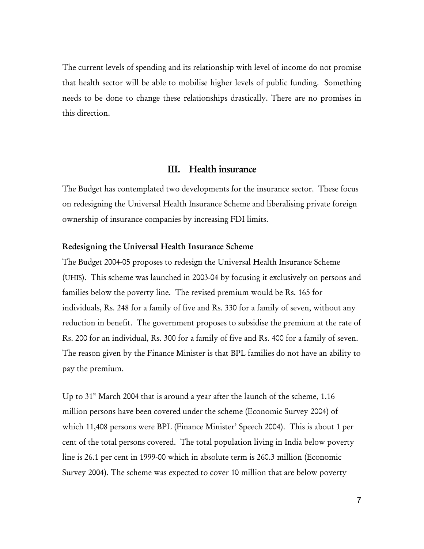The current levels of spending and its relationship with level of income do not promise that health sector will be able to mobilise higher levels of public funding. Something needs to be done to change these relationships drastically. There are no promises in this direction.

# III. Health insurance

The Budget has contemplated two developments for the insurance sector. These focus on redesigning the Universal Health Insurance Scheme and liberalising private foreign ownership of insurance companies by increasing FDI limits.

#### Redesigning the Universal Health Insurance Scheme

The Budget 2004-05 proposes to redesign the Universal Health Insurance Scheme (UHIS). This scheme was launched in 2003-04 by focusing it exclusively on persons and families below the poverty line. The revised premium would be Rs. 165 for individuals, Rs. 248 for a family of five and Rs. 330 for a family of seven, without any reduction in benefit. The government proposes to subsidise the premium at the rate of Rs. 200 for an individual, Rs. 300 for a family of five and Rs. 400 for a family of seven. The reason given by the Finance Minister is that BPL families do not have an ability to pay the premium.

Up to  $31<sup>st</sup>$  March 2004 that is around a year after the launch of the scheme, 1.16 million persons have been covered under the scheme (Economic Survey 2004) of which 11,408 persons were BPL (Finance Minister' Speech 2004). This is about 1 per cent of the total persons covered. The total population living in India below poverty line is 26.1 per cent in 1999-00 which in absolute term is 260.3 million (Economic Survey 2004). The scheme was expected to cover 10 million that are below poverty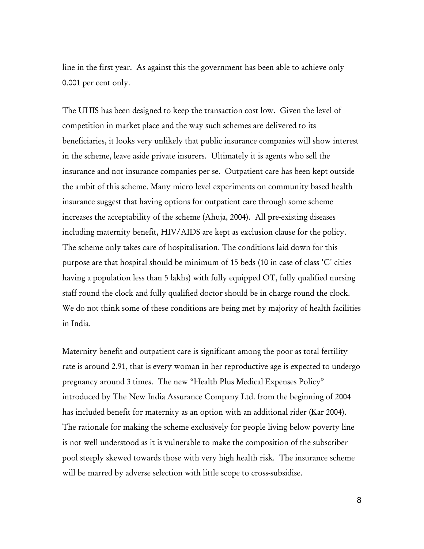line in the first year. As against this the government has been able to achieve only 0.001 per cent only.

The UHIS has been designed to keep the transaction cost low. Given the level of competition in market place and the way such schemes are delivered to its beneficiaries, it looks very unlikely that public insurance companies will show interest in the scheme, leave aside private insurers. Ultimately it is agents who sell the insurance and not insurance companies per se. Outpatient care has been kept outside the ambit of this scheme. Many micro level experiments on community based health insurance suggest that having options for outpatient care through some scheme increases the acceptability of the scheme (Ahuja, 2004). All pre-existing diseases including maternity benefit, HIV/AIDS are kept as exclusion clause for the policy. The scheme only takes care of hospitalisation. The conditions laid down for this purpose are that hospital should be minimum of 15 beds (10 in case of class 'C' cities having a population less than 5 lakhs) with fully equipped OT, fully qualified nursing staff round the clock and fully qualified doctor should be in charge round the clock. We do not think some of these conditions are being met by majority of health facilities in India.

Maternity benefit and outpatient care is significant among the poor as total fertility rate is around 2.91, that is every woman in her reproductive age is expected to undergo pregnancy around 3 times. The new "Health Plus Medical Expenses Policy" introduced by The New India Assurance Company Ltd. from the beginning of 2004 has included benefit for maternity as an option with an additional rider (Kar 2004). The rationale for making the scheme exclusively for people living below poverty line is not well understood as it is vulnerable to make the composition of the subscriber pool steeply skewed towards those with very high health risk. The insurance scheme will be marred by adverse selection with little scope to cross-subsidise.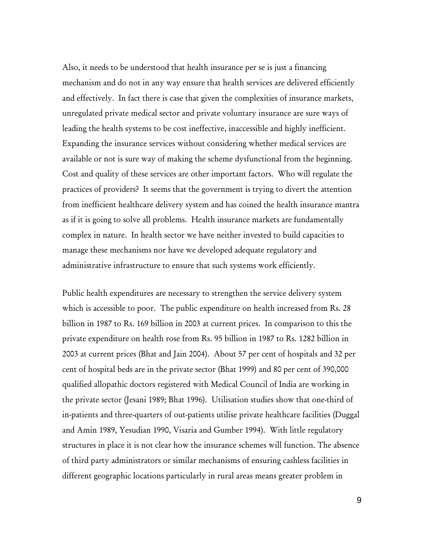Also, it needs to be understood that health insurance per se is just a financing mechanism and do not in any way ensure that health services are delivered efficiently and effectively. In fact there is case that given the complexities of insurance markets, unregulated private medical sector and private voluntary insurance are sure ways of leading the health systems to be cost ineffective, inaccessible and highly inefficient. Expanding the insurance services without considering whether medical services are available or not is sure way of making the scheme dysfunctional from the beginning. Cost and quality of these services are other important factors. Who will regulate the practices of providers? It seems that the government is trying to divert the attention from inefficient healthcare delivery system and has coined the health insurance mantra as if it is going to solve all problems. Health insurance markets are fundamentally complex in nature. In health sector we have neither invested to build capacities to manage these mechanisms nor have we developed adequate regulatory and administrative infrastructure to ensure that such systems work efficiently.

Public health expenditures are necessary to strengthen the service delivery system which is accessible to poor. The public expenditure on health increased from Rs. 28 billion in 1987 to Rs. 169 billion in 2003 at current prices. In comparison to this the private expenditure on health rose from Rs. 95 billion in 1987 to Rs. 1282 billion in 2003 at current prices (Bhat and Jain 2004). About 57 per cent of hospitals and 32 per cent of hospital beds are in the private sector (Bhat 1999) and 80 per cent of 390,000 qualified allopathic doctors registered with Medical Council of India are working in the private sector (Jesani 1989; Bhat 1996). Utilisation studies show that one-third of in-patients and three-quarters of out-patients utilise private healthcare facilities (Duggal and Amin 1989, Yesudian 1990, Visaria and Gumber 1994). With little regulatory structures in place it is not clear how the insurance schemes will function. The absence of third party administrators or similar mechanisms of ensuring cashless facilities in different geographic locations particularly in rural areas means greater problem in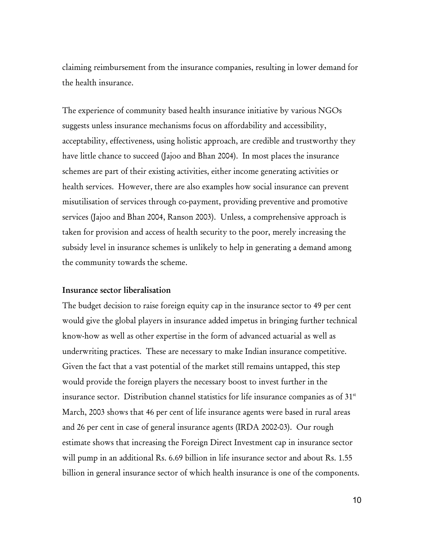claiming reimbursement from the insurance companies, resulting in lower demand for the health insurance.

The experience of community based health insurance initiative by various NGOs suggests unless insurance mechanisms focus on affordability and accessibility, acceptability, effectiveness, using holistic approach, are credible and trustworthy they have little chance to succeed (Jajoo and Bhan 2004). In most places the insurance schemes are part of their existing activities, either income generating activities or health services. However, there are also examples how social insurance can prevent misutilisation of services through co-payment, providing preventive and promotive services (Jajoo and Bhan 2004, Ranson 2003). Unless, a comprehensive approach is taken for provision and access of health security to the poor, merely increasing the subsidy level in insurance schemes is unlikely to help in generating a demand among the community towards the scheme.

## Insurance sector liberalisation

The budget decision to raise foreign equity cap in the insurance sector to 49 per cent would give the global players in insurance added impetus in bringing further technical know-how as well as other expertise in the form of advanced actuarial as well as underwriting practices. These are necessary to make Indian insurance competitive. Given the fact that a vast potential of the market still remains untapped, this step would provide the foreign players the necessary boost to invest further in the insurance sector. Distribution channel statistics for life insurance companies as of  $31<sup>st</sup>$ March, 2003 shows that 46 per cent of life insurance agents were based in rural areas and 26 per cent in case of general insurance agents (IRDA 2002-03). Our rough estimate shows that increasing the Foreign Direct Investment cap in insurance sector will pump in an additional Rs. 6.69 billion in life insurance sector and about Rs. 1.55 billion in general insurance sector of which health insurance is one of the components.

10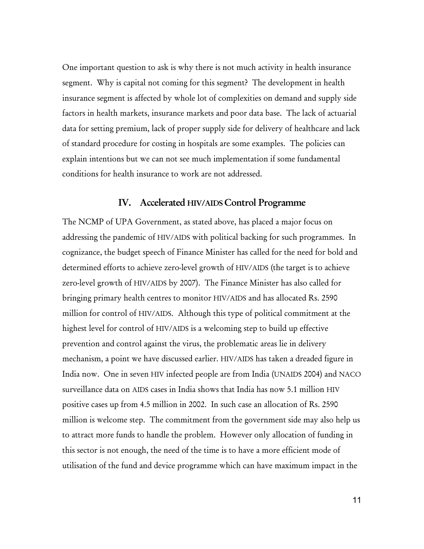One important question to ask is why there is not much activity in health insurance segment. Why is capital not coming for this segment? The development in health insurance segment is affected by whole lot of complexities on demand and supply side factors in health markets, insurance markets and poor data base. The lack of actuarial data for setting premium, lack of proper supply side for delivery of healthcare and lack of standard procedure for costing in hospitals are some examples. The policies can explain intentions but we can not see much implementation if some fundamental conditions for health insurance to work are not addressed.

# IV. Accelerated HIV/AIDS Control Programme

The NCMP of UPA Government, as stated above, has placed a major focus on addressing the pandemic of HIV/AIDS with political backing for such programmes. In cognizance, the budget speech of Finance Minister has called for the need for bold and determined efforts to achieve zero-level growth of HIV/AIDS (the target is to achieve zero-level growth of HIV/AIDS by 2007). The Finance Minister has also called for bringing primary health centres to monitor HIV/AIDS and has allocated Rs. 2590 million for control of HIV/AIDS. Although this type of political commitment at the highest level for control of HIV/AIDS is a welcoming step to build up effective prevention and control against the virus, the problematic areas lie in delivery mechanism, a point we have discussed earlier. HIV/AIDS has taken a dreaded figure in India now. One in seven HIV infected people are from India (UNAIDS 2004) and NACO surveillance data on AIDS cases in India shows that India has now 5.1 million HIV positive cases up from 4.5 million in 2002. In such case an allocation of Rs. 2590 million is welcome step. The commitment from the government side may also help us to attract more funds to handle the problem. However only allocation of funding in this sector is not enough, the need of the time is to have a more efficient mode of utilisation of the fund and device programme which can have maximum impact in the

11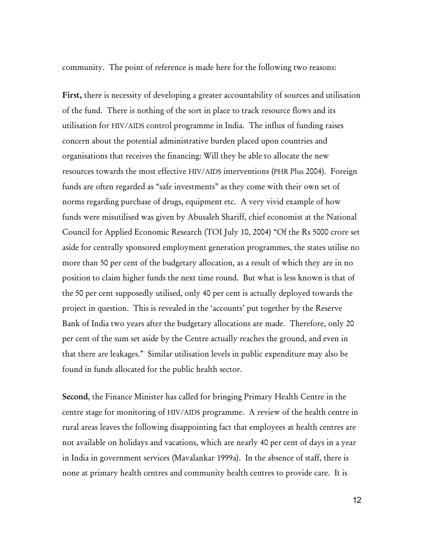community. The point of reference is made here for the following two reasons:

First, there is necessity of developing a greater accountability of sources and utilisation of the fund. There is nothing of the sort in place to track resource flows and its utilisation for HIV/AIDS control programme in India. The influx of funding raises concern about the potential administrative burden placed upon countries and organisations that receives the financing: Will they be able to allocate the new resources towards the most effective HIV/AIDS interventions (PHR Plus 2004). Foreign funds are often regarded as "safe investments" as they come with their own set of norms regarding purchase of drugs, equipment etc. A very vivid example of how funds were misutilised was given by Abusaleh Shariff, chief economist at the National Council for Applied Economic Research (TOI July 10, 2004) "Of the Rs 5000 crore set aside for centrally sponsored employment generation programmes, the states utilise no more than 50 per cent of the budgetary allocation, as a result of which they are in no position to claim higher funds the next time round. But what is less known is that of the 50 per cent supposedly utilised, only 40 per cent is actually deployed towards the project in question. This is revealed in the 'accounts' put together by the Reserve Bank of India two years after the budgetary allocations are made. Therefore, only 20 per cent of the sum set aside by the Centre actually reaches the ground, and even in that there are leakages." Similar utilisation levels in public expenditure may also be found in funds allocated for the public health sector.

Second, the Finance Minister has called for bringing Primary Health Centre in the centre stage for monitoring of HIV/AIDS programme. A review of the health centre in rural areas leaves the following disappointing fact that employees at health centres are not available on holidays and vacations, which are nearly 40 per cent of days in a year in India in government services (Mavalankar 1999a). In the absence of staff, there is none at primary health centres and community health centres to provide care. It is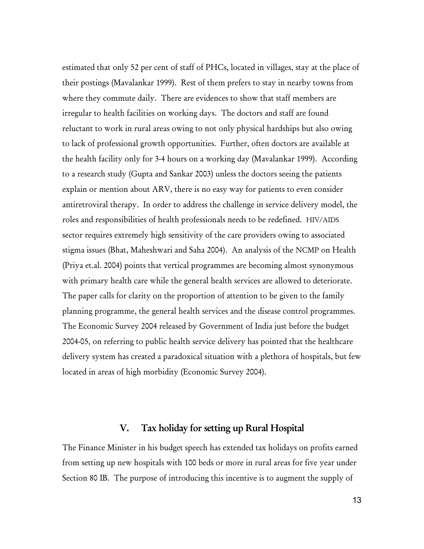estimated that only 52 per cent of staff of PHCs, located in villages, stay at the place of their postings (Mavalankar 1999). Rest of them prefers to stay in nearby towns from where they commute daily. There are evidences to show that staff members are irregular to health facilities on working days. The doctors and staff are found reluctant to work in rural areas owing to not only physical hardships but also owing to lack of professional growth opportunities. Further, often doctors are available at the health facility only for 3-4 hours on a working day (Mavalankar 1999). According to a research study (Gupta and Sankar 2003) unless the doctors seeing the patients explain or mention about ARV, there is no easy way for patients to even consider antiretroviral therapy. In order to address the challenge in service delivery model, the roles and responsibilities of health professionals needs to be redefined. HIV/AIDS sector requires extremely high sensitivity of the care providers owing to associated stigma issues (Bhat, Maheshwari and Saha 2004). An analysis of the NCMP on Health (Priya et.al. 2004) points that vertical programmes are becoming almost synonymous with primary health care while the general health services are allowed to deteriorate. The paper calls for clarity on the proportion of attention to be given to the family planning programme, the general health services and the disease control programmes. The Economic Survey 2004 released by Government of India just before the budget 2004-05, on referring to public health service delivery has pointed that the healthcare delivery system has created a paradoxical situation with a plethora of hospitals, but few located in areas of high morbidity (Economic Survey 2004).

## V. Tax holiday for setting up Rural Hospital

The Finance Minister in his budget speech has extended tax holidays on profits earned from setting up new hospitals with 100 beds or more in rural areas for five year under Section 80 IB. The purpose of introducing this incentive is to augment the supply of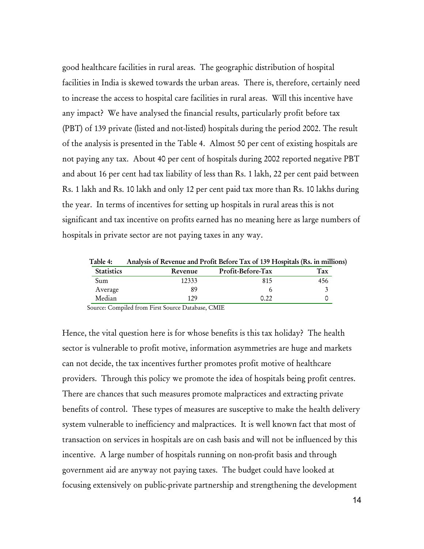good healthcare facilities in rural areas. The geographic distribution of hospital facilities in India is skewed towards the urban areas. There is, therefore, certainly need to increase the access to hospital care facilities in rural areas. Will this incentive have any impact? We have analysed the financial results, particularly profit before tax (PBT) of 139 private (listed and not-listed) hospitals during the period 2002. The result of the analysis is presented in the Table 4. Almost 50 per cent of existing hospitals are not paying any tax. About 40 per cent of hospitals during 2002 reported negative PBT and about 16 per cent had tax liability of less than Rs. 1 lakh, 22 per cent paid between Rs. 1 lakh and Rs. 10 lakh and only 12 per cent paid tax more than Rs. 10 lakhs during the year. In terms of incentives for setting up hospitals in rural areas this is not significant and tax incentive on profits earned has no meaning here as large numbers of hospitals in private sector are not paying taxes in any way.

| Table 4:          | Analysis of Revenue and Profit Before Tax of 139 Hospitals (Rs. in millions) |                   |     |  |
|-------------------|------------------------------------------------------------------------------|-------------------|-----|--|
| <b>Statistics</b> | Revenue                                                                      | Profit-Before-Tax | Tax |  |
| Sum               | 12333                                                                        | 815               | 456 |  |
| Average           | 89                                                                           |                   |     |  |
| Median            | 179                                                                          | ר ר               |     |  |

Source: Compiled from First Source Database, CMIE

Hence, the vital question here is for whose benefits is this tax holiday? The health sector is vulnerable to profit motive, information asymmetries are huge and markets can not decide, the tax incentives further promotes profit motive of healthcare providers. Through this policy we promote the idea of hospitals being profit centres. There are chances that such measures promote malpractices and extracting private benefits of control. These types of measures are susceptive to make the health delivery system vulnerable to inefficiency and malpractices. It is well known fact that most of transaction on services in hospitals are on cash basis and will not be influenced by this incentive. A large number of hospitals running on non-profit basis and through government aid are anyway not paying taxes. The budget could have looked at focusing extensively on public-private partnership and strengthening the development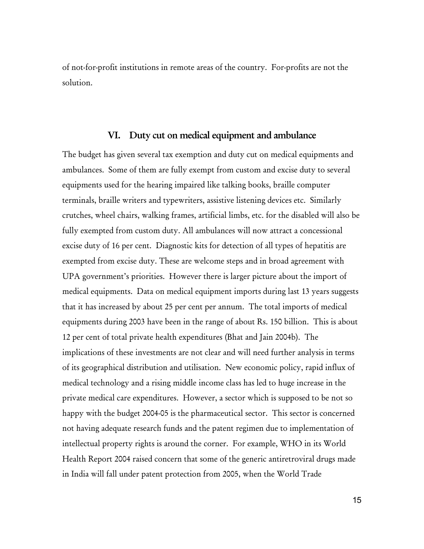of not-for-profit institutions in remote areas of the country. For-profits are not the solution.

## VI. Duty cut on medical equipment and ambulance

The budget has given several tax exemption and duty cut on medical equipments and ambulances. Some of them are fully exempt from custom and excise duty to several equipments used for the hearing impaired like talking books, braille computer terminals, braille writers and typewriters, assistive listening devices etc. Similarly crutches, wheel chairs, walking frames, artificial limbs, etc. for the disabled will also be fully exempted from custom duty. All ambulances will now attract a concessional excise duty of 16 per cent. Diagnostic kits for detection of all types of hepatitis are exempted from excise duty. These are welcome steps and in broad agreement with UPA government's priorities. However there is larger picture about the import of medical equipments. Data on medical equipment imports during last 13 years suggests that it has increased by about 25 per cent per annum. The total imports of medical equipments during 2003 have been in the range of about Rs. 150 billion. This is about 12 per cent of total private health expenditures (Bhat and Jain 2004b). The implications of these investments are not clear and will need further analysis in terms of its geographical distribution and utilisation. New economic policy, rapid influx of medical technology and a rising middle income class has led to huge increase in the private medical care expenditures. However, a sector which is supposed to be not so happy with the budget 2004-05 is the pharmaceutical sector. This sector is concerned not having adequate research funds and the patent regimen due to implementation of intellectual property rights is around the corner. For example, WHO in its World Health Report 2004 raised concern that some of the generic antiretroviral drugs made in India will fall under patent protection from 2005, when the World Trade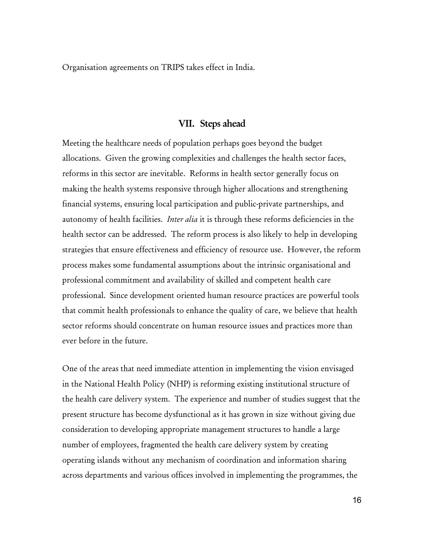Organisation agreements on TRIPS takes effect in India.

# VII. Steps ahead

Meeting the healthcare needs of population perhaps goes beyond the budget allocations. Given the growing complexities and challenges the health sector faces, reforms in this sector are inevitable. Reforms in health sector generally focus on making the health systems responsive through higher allocations and strengthening financial systems, ensuring local participation and public-private partnerships, and autonomy of health facilities. *Inter alia* it is through these reforms deficiencies in the health sector can be addressed. The reform process is also likely to help in developing strategies that ensure effectiveness and efficiency of resource use. However, the reform process makes some fundamental assumptions about the intrinsic organisational and professional commitment and availability of skilled and competent health care professional. Since development oriented human resource practices are powerful tools that commit health professionals to enhance the quality of care, we believe that health sector reforms should concentrate on human resource issues and practices more than ever before in the future.

One of the areas that need immediate attention in implementing the vision envisaged in the National Health Policy (NHP) is reforming existing institutional structure of the health care delivery system. The experience and number of studies suggest that the present structure has become dysfunctional as it has grown in size without giving due consideration to developing appropriate management structures to handle a large number of employees, fragmented the health care delivery system by creating operating islands without any mechanism of coordination and information sharing across departments and various offices involved in implementing the programmes, the

16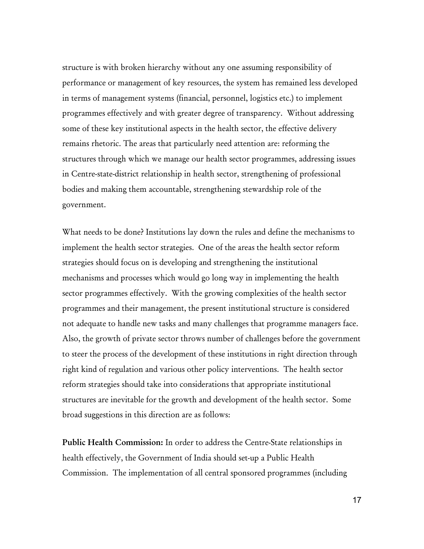structure is with broken hierarchy without any one assuming responsibility of performance or management of key resources, the system has remained less developed in terms of management systems (financial, personnel, logistics etc.) to implement programmes effectively and with greater degree of transparency. Without addressing some of these key institutional aspects in the health sector, the effective delivery remains rhetoric. The areas that particularly need attention are: reforming the structures through which we manage our health sector programmes, addressing issues in Centre-state-district relationship in health sector, strengthening of professional bodies and making them accountable, strengthening stewardship role of the government.

What needs to be done? Institutions lay down the rules and define the mechanisms to implement the health sector strategies. One of the areas the health sector reform strategies should focus on is developing and strengthening the institutional mechanisms and processes which would go long way in implementing the health sector programmes effectively. With the growing complexities of the health sector programmes and their management, the present institutional structure is considered not adequate to handle new tasks and many challenges that programme managers face. Also, the growth of private sector throws number of challenges before the government to steer the process of the development of these institutions in right direction through right kind of regulation and various other policy interventions. The health sector reform strategies should take into considerations that appropriate institutional structures are inevitable for the growth and development of the health sector. Some broad suggestions in this direction are as follows:

Public Health Commission: In order to address the Centre-State relationships in health effectively, the Government of India should set-up a Public Health Commission. The implementation of all central sponsored programmes (including

17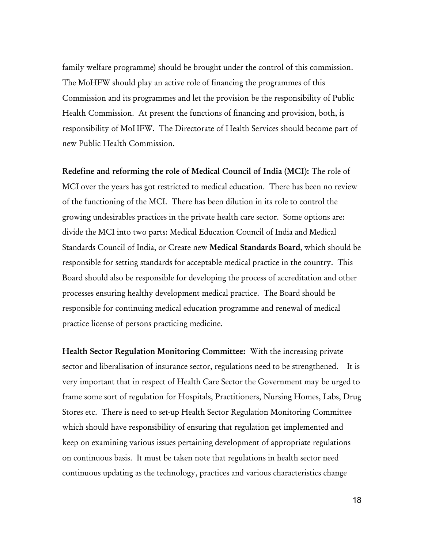family welfare programme) should be brought under the control of this commission. The MoHFW should play an active role of financing the programmes of this Commission and its programmes and let the provision be the responsibility of Public Health Commission. At present the functions of financing and provision, both, is responsibility of MoHFW. The Directorate of Health Services should become part of new Public Health Commission.

Redefine and reforming the role of Medical Council of India (MCI): The role of MCI over the years has got restricted to medical education. There has been no review of the functioning of the MCI. There has been dilution in its role to control the growing undesirables practices in the private health care sector. Some options are: divide the MCI into two parts: Medical Education Council of India and Medical Standards Council of India, or Create new Medical Standards Board, which should be responsible for setting standards for acceptable medical practice in the country. This Board should also be responsible for developing the process of accreditation and other processes ensuring healthy development medical practice. The Board should be responsible for continuing medical education programme and renewal of medical practice license of persons practicing medicine.

Health Sector Regulation Monitoring Committee: With the increasing private sector and liberalisation of insurance sector, regulations need to be strengthened. It is very important that in respect of Health Care Sector the Government may be urged to frame some sort of regulation for Hospitals, Practitioners, Nursing Homes, Labs, Drug Stores etc. There is need to set-up Health Sector Regulation Monitoring Committee which should have responsibility of ensuring that regulation get implemented and keep on examining various issues pertaining development of appropriate regulations on continuous basis. It must be taken note that regulations in health sector need continuous updating as the technology, practices and various characteristics change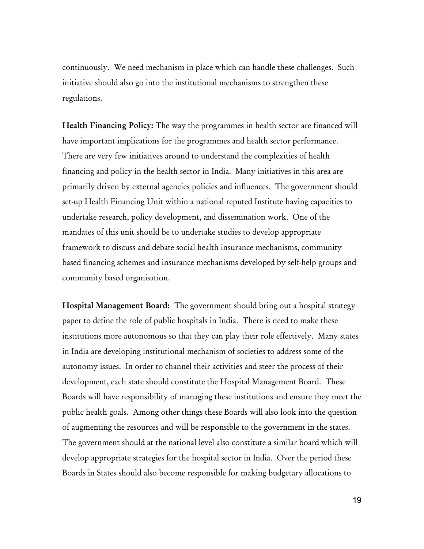continuously. We need mechanism in place which can handle these challenges. Such initiative should also go into the institutional mechanisms to strengthen these regulations.

Health Financing Policy: The way the programmes in health sector are financed will have important implications for the programmes and health sector performance. There are very few initiatives around to understand the complexities of health financing and policy in the health sector in India. Many initiatives in this area are primarily driven by external agencies policies and influences. The government should set-up Health Financing Unit within a national reputed Institute having capacities to undertake research, policy development, and dissemination work. One of the mandates of this unit should be to undertake studies to develop appropriate framework to discuss and debate social health insurance mechanisms, community based financing schemes and insurance mechanisms developed by self-help groups and community based organisation.

Hospital Management Board: The government should bring out a hospital strategy paper to define the role of public hospitals in India. There is need to make these institutions more autonomous so that they can play their role effectively. Many states in India are developing institutional mechanism of societies to address some of the autonomy issues. In order to channel their activities and steer the process of their development, each state should constitute the Hospital Management Board. These Boards will have responsibility of managing these institutions and ensure they meet the public health goals. Among other things these Boards will also look into the question of augmenting the resources and will be responsible to the government in the states. The government should at the national level also constitute a similar board which will develop appropriate strategies for the hospital sector in India. Over the period these Boards in States should also become responsible for making budgetary allocations to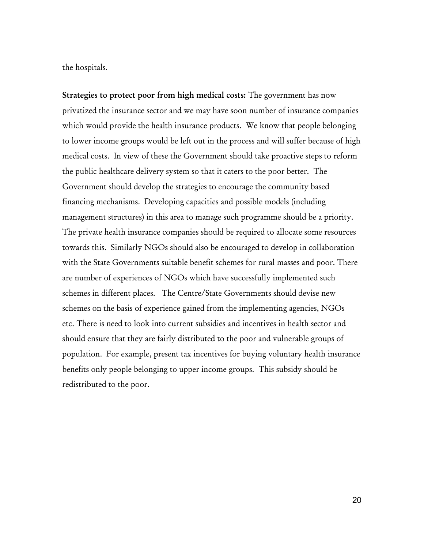the hospitals.

Strategies to protect poor from high medical costs: The government has now privatized the insurance sector and we may have soon number of insurance companies which would provide the health insurance products. We know that people belonging to lower income groups would be left out in the process and will suffer because of high medical costs. In view of these the Government should take proactive steps to reform the public healthcare delivery system so that it caters to the poor better. The Government should develop the strategies to encourage the community based financing mechanisms. Developing capacities and possible models (including management structures) in this area to manage such programme should be a priority. The private health insurance companies should be required to allocate some resources towards this. Similarly NGOs should also be encouraged to develop in collaboration with the State Governments suitable benefit schemes for rural masses and poor. There are number of experiences of NGOs which have successfully implemented such schemes in different places. The Centre/State Governments should devise new schemes on the basis of experience gained from the implementing agencies, NGOs etc. There is need to look into current subsidies and incentives in health sector and should ensure that they are fairly distributed to the poor and vulnerable groups of population. For example, present tax incentives for buying voluntary health insurance benefits only people belonging to upper income groups. This subsidy should be redistributed to the poor.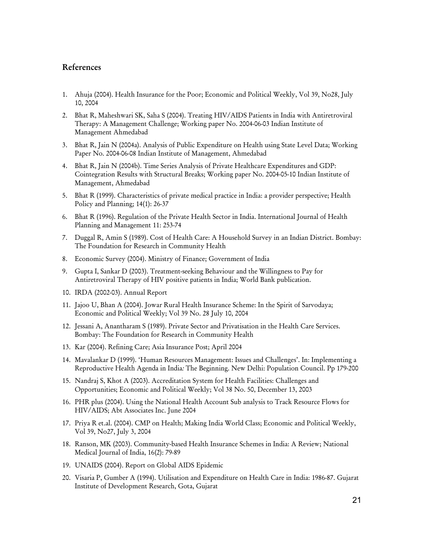## References

- 1. Ahuja (2004). Health Insurance for the Poor; Economic and Political Weekly, Vol 39, No28, July 10, 2004
- 2. Bhat R, Maheshwari SK, Saha S (2004). Treating HIV/AIDS Patients in India with Antiretroviral Therapy: A Management Challenge; Working paper No. 2004-06-03 Indian Institute of Management Ahmedabad
- 3. Bhat R, Jain N (2004a). Analysis of Public Expenditure on Health using State Level Data; Working Paper No. 2004-06-08 Indian Institute of Management, Ahmedabad
- 4. Bhat R, Jain N (2004b). Time Series Analysis of Private Healthcare Expenditures and GDP: Cointegration Results with Structural Breaks; Working paper No. 2004-05-10 Indian Institute of Management, Ahmedabad
- 5. Bhat R (1999). Characteristics of private medical practice in India: a provider perspective; Health Policy and Planning; 14(1): 26-37
- 6. Bhat R (1996). Regulation of the Private Health Sector in India. International Journal of Health Planning and Management 11: 253-74
- 7. Duggal R, Amin S (1989). Cost of Health Care: A Household Survey in an Indian District. Bombay: The Foundation for Research in Community Health
- 8. Economic Survey (2004). Ministry of Finance; Government of India
- 9. Gupta I, Sankar D (2003). Treatment-seeking Behaviour and the Willingness to Pay for Antiretroviral Therapy of HIV positive patients in India; World Bank publication.
- 10. IRDA (2002-03). Annual Report
- 11. Jajoo U, Bhan A (2004). Jowar Rural Health Insurance Scheme: In the Spirit of Sarvodaya; Economic and Political Weekly; Vol 39 No. 28 July 10, 2004
- 12. Jessani A, Anantharam S (1989). Private Sector and Privatisation in the Health Care Services. Bombay: The Foundation for Research in Community Health
- 13. Kar (2004). Refining Care; Asia Insurance Post; April 2004
- 14. Mavalankar D (1999). 'Human Resources Management: Issues and Challenges'. In: Implementing a Reproductive Health Agenda in India*:* The Beginning. New Delhi: Population Council. Pp 179-200
- 15. Nandraj S, Khot A (2003). Accreditation System for Health Facilities: Challenges and Opportunities; Economic and Political Weekly; Vol 38 No. 50, December 13, 2003
- 16. PHR plus (2004). Using the National Health Account Sub analysis to Track Resource Flows for HIV/AIDS; Abt Associates Inc. June 2004
- 17. Priya R et.al. (2004). CMP on Health; Making India World Class; Economic and Political Weekly, Vol 39, No27, July 3, 2004
- 18. Ranson, MK (2003). Community-based Health Insurance Schemes in India: A Review; National Medical Journal of India, 16(2): 79-89
- 19. UNAIDS (2004). Report on Global AIDS Epidemic
- 20. Visaria P, Gumber A (1994). Utilisation and Expenditure on Health Care in India: 1986-87. Gujarat Institute of Development Research, Gota, Gujarat